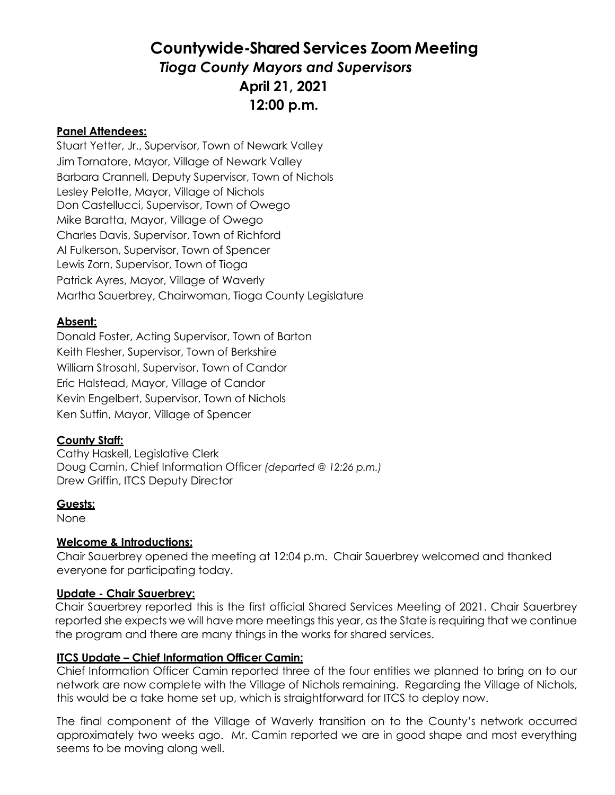# **Countywide-Shared Services Zoom Meeting** *Tioga County Mayors and Supervisors* **April 21, 2021 12:00 p.m.**

#### **Panel Attendees:**

Stuart Yetter, Jr., Supervisor, Town of Newark Valley Jim Tornatore, Mayor, Village of Newark Valley Barbara Crannell, Deputy Supervisor, Town of Nichols Lesley Pelotte, Mayor, Village of Nichols Don Castellucci, Supervisor, Town of Owego Mike Baratta, Mayor, Village of Owego Charles Davis, Supervisor, Town of Richford Al Fulkerson, Supervisor, Town of Spencer Lewis Zorn, Supervisor, Town of Tioga Patrick Ayres, Mayor, Village of Waverly Martha Sauerbrey, Chairwoman, Tioga County Legislature

## **Absent:**

Donald Foster, Acting Supervisor, Town of Barton Keith Flesher, Supervisor, Town of Berkshire William Strosahl, Supervisor, Town of Candor Eric Halstead, Mayor, Village of Candor Kevin Engelbert, Supervisor, Town of Nichols Ken Sutfin, Mayor, Village of Spencer

#### **County Staff:**

Cathy Haskell, Legislative Clerk Doug Camin, Chief Information Officer *(departed @ 12:26 p.m.)* Drew Griffin, ITCS Deputy Director

#### **Guests:**

None

# **Welcome & Introductions:**

Chair Sauerbrey opened the meeting at 12:04 p.m. Chair Sauerbrey welcomed and thanked everyone for participating today.

#### **Update - Chair Sauerbrey:**

Chair Sauerbrey reported this is the first official Shared Services Meeting of 2021. Chair Sauerbrey reported she expects we will have more meetings this year, as the State is requiring that we continue the program and there are many things in the works for shared services.

#### **ITCS Update – Chief Information Officer Camin:**

Chief Information Officer Camin reported three of the four entities we planned to bring on to our network are now complete with the Village of Nichols remaining. Regarding the Village of Nichols, this would be a take home set up, which is straightforward for ITCS to deploy now.

The final component of the Village of Waverly transition on to the County's network occurred approximately two weeks ago. Mr. Camin reported we are in good shape and most everything seems to be moving along well.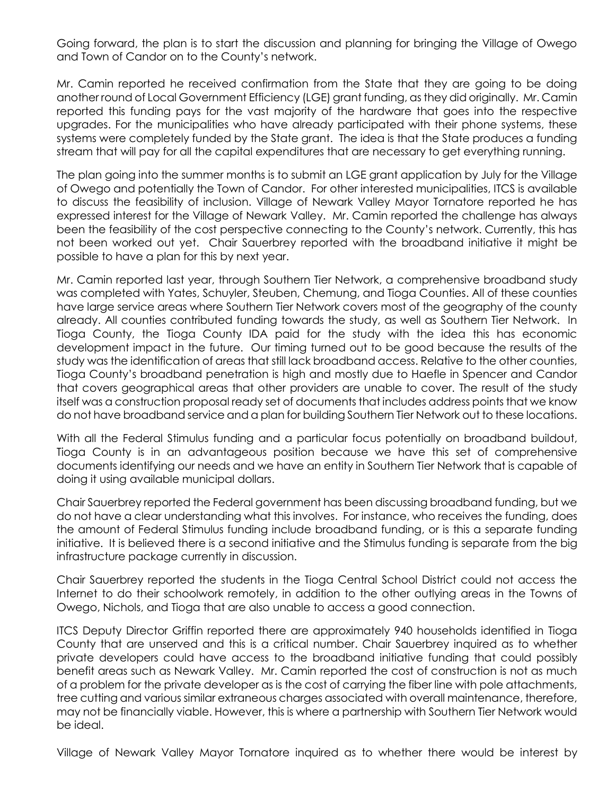Going forward, the plan is to start the discussion and planning for bringing the Village of Owego and Town of Candor on to the County's network.

Mr. Camin reported he received confirmation from the State that they are going to be doing another round of Local Government Efficiency (LGE) grant funding, as they did originally. Mr. Camin reported this funding pays for the vast majority of the hardware that goes into the respective upgrades. For the municipalities who have already participated with their phone systems, these systems were completely funded by the State grant. The idea is that the State produces a funding stream that will pay for all the capital expenditures that are necessary to get everything running.

The plan going into the summer months is to submit an LGE grant application by July for the Village of Owego and potentially the Town of Candor. For other interested municipalities, ITCS is available to discuss the feasibility of inclusion. Village of Newark Valley Mayor Tornatore reported he has expressed interest for the Village of Newark Valley. Mr. Camin reported the challenge has always been the feasibility of the cost perspective connecting to the County's network. Currently, this has not been worked out yet. Chair Sauerbrey reported with the broadband initiative it might be possible to have a plan for this by next year.

Mr. Camin reported last year, through Southern Tier Network, a comprehensive broadband study was completed with Yates, Schuyler, Steuben, Chemung, and Tioga Counties. All of these counties have large service areas where Southern Tier Network covers most of the geography of the county already. All counties contributed funding towards the study, as well as Southern Tier Network. In Tioga County, the Tioga County IDA paid for the study with the idea this has economic development impact in the future. Our timing turned out to be good because the results of the study was the identification of areas that still lack broadband access. Relative to the other counties, Tioga County's broadband penetration is high and mostly due to Haefle in Spencer and Candor that covers geographical areas that other providers are unable to cover. The result of the study itself was a construction proposal ready set of documents that includes address points that we know do not have broadband service and a plan for building Southern Tier Network out to these locations.

With all the Federal Stimulus funding and a particular focus potentially on broadband buildout, Tioga County is in an advantageous position because we have this set of comprehensive documents identifying our needs and we have an entity in Southern Tier Network that is capable of doing it using available municipal dollars.

Chair Sauerbrey reported the Federal government has been discussing broadband funding, but we do not have a clear understanding what this involves. For instance, who receives the funding, does the amount of Federal Stimulus funding include broadband funding, or is this a separate funding initiative. It is believed there is a second initiative and the Stimulus funding is separate from the big infrastructure package currently in discussion.

Chair Sauerbrey reported the students in the Tioga Central School District could not access the Internet to do their schoolwork remotely, in addition to the other outlying areas in the Towns of Owego, Nichols, and Tioga that are also unable to access a good connection.

ITCS Deputy Director Griffin reported there are approximately 940 households identified in Tioga County that are unserved and this is a critical number. Chair Sauerbrey inquired as to whether private developers could have access to the broadband initiative funding that could possibly benefit areas such as Newark Valley. Mr. Camin reported the cost of construction is not as much of a problem for the private developer as is the cost of carrying the fiber line with pole attachments, tree cutting and various similar extraneous charges associated with overall maintenance, therefore, may not be financially viable. However, this is where a partnership with Southern Tier Network would be ideal.

Village of Newark Valley Mayor Tornatore inquired as to whether there would be interest by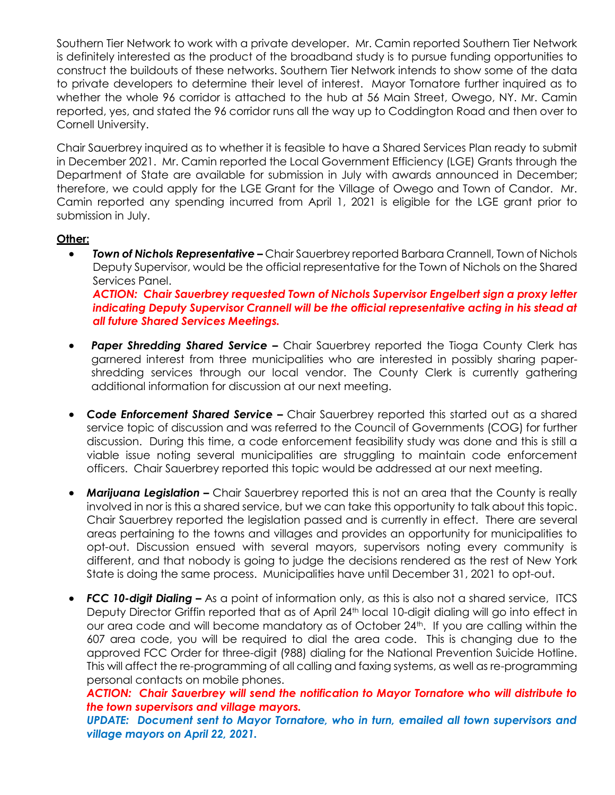Southern Tier Network to work with a private developer. Mr. Camin reported Southern Tier Network is definitely interested as the product of the broadband study is to pursue funding opportunities to construct the buildouts of these networks. Southern Tier Network intends to show some of the data to private developers to determine their level of interest. Mayor Tornatore further inquired as to whether the whole 96 corridor is attached to the hub at 56 Main Street, Owego, NY. Mr. Camin reported, yes, and stated the 96 corridor runs all the way up to Coddington Road and then over to Cornell University.

Chair Sauerbrey inquired as to whether it is feasible to have a Shared Services Plan ready to submit in December 2021. Mr. Camin reported the Local Government Efficiency (LGE) Grants through the Department of State are available for submission in July with awards announced in December; therefore, we could apply for the LGE Grant for the Village of Owego and Town of Candor. Mr. Camin reported any spending incurred from April 1, 2021 is eligible for the LGE grant prior to submission in July.

## **Other:**

 *Town of Nichols Representative –* Chair Sauerbrey reported Barbara Crannell, Town of Nichols Deputy Supervisor, would be the official representative for the Town of Nichols on the Shared Services Panel. *ACTION: Chair Sauerbrey requested Town of Nichols Supervisor Engelbert sign a proxy letter* 

*indicating Deputy Supervisor Crannell will be the official representative acting in his stead at all future Shared Services Meetings.* 

- *Paper Shredding Shared Service –* Chair Sauerbrey reported the Tioga County Clerk has garnered interest from three municipalities who are interested in possibly sharing papershredding services through our local vendor. The County Clerk is currently gathering additional information for discussion at our next meeting.
- *Code Enforcement Shared Service –* Chair Sauerbrey reported this started out as a shared service topic of discussion and was referred to the Council of Governments (COG) for further discussion. During this time, a code enforcement feasibility study was done and this is still a viable issue noting several municipalities are struggling to maintain code enforcement officers. Chair Sauerbrey reported this topic would be addressed at our next meeting.
- *Marijuana Legislation –* Chair Sauerbrey reported this is not an area that the County is really involved in nor is this a shared service, but we can take this opportunity to talk about this topic. Chair Sauerbrey reported the legislation passed and is currently in effect. There are several areas pertaining to the towns and villages and provides an opportunity for municipalities to opt-out. Discussion ensued with several mayors, supervisors noting every community is different, and that nobody is going to judge the decisions rendered as the rest of New York State is doing the same process. Municipalities have until December 31, 2021 to opt-out.
- *FCC 10-digit Dialing –* As a point of information only, as this is also not a shared service, ITCS Deputy Director Griffin reported that as of April 24<sup>th</sup> local 10-digit dialing will go into effect in our area code and will become mandatory as of October 24<sup>th</sup>. If you are calling within the 607 area code, you will be required to dial the area code. This is changing due to the approved FCC Order for three-digit (988) dialing for the National Prevention Suicide Hotline. This will affect the re-programming of all calling and faxing systems, as well as re-programming personal contacts on mobile phones.

*ACTION: Chair Sauerbrey will send the notification to Mayor Tornatore who will distribute to the town supervisors and village mayors.* 

*UPDATE: Document sent to Mayor Tornatore, who in turn, emailed all town supervisors and village mayors on April 22, 2021.*